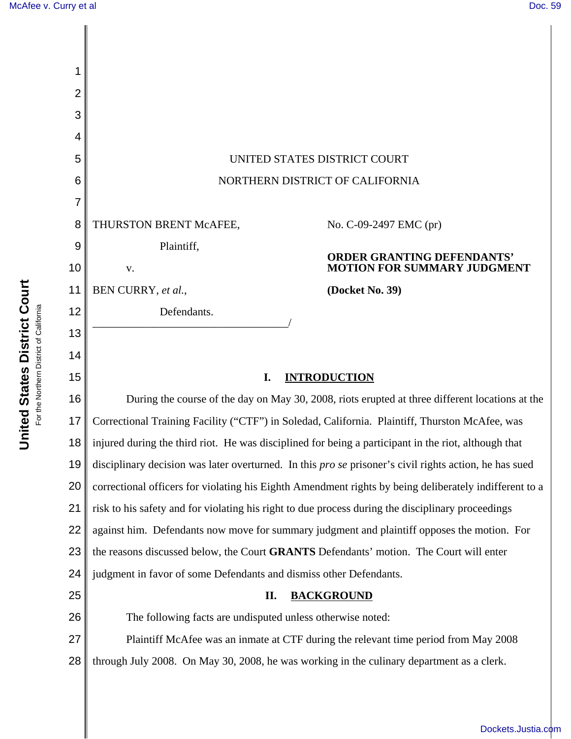**United States District Court** For the Northern District of California

**United States District Court**<br>For the Northern District of California

| 1        |                                                                                                 |                                                                                                                     |
|----------|-------------------------------------------------------------------------------------------------|---------------------------------------------------------------------------------------------------------------------|
| 2        |                                                                                                 |                                                                                                                     |
| 3        |                                                                                                 |                                                                                                                     |
| 4        |                                                                                                 |                                                                                                                     |
| 5        | UNITED STATES DISTRICT COURT                                                                    |                                                                                                                     |
| 6        | NORTHERN DISTRICT OF CALIFORNIA                                                                 |                                                                                                                     |
| 7        |                                                                                                 |                                                                                                                     |
| 8        | THURSTON BRENT McAFEE,                                                                          | No. C-09-2497 EMC (pr)                                                                                              |
| 9        | Plaintiff,                                                                                      | <b>ORDER GRANTING DEFENDANTS'</b>                                                                                   |
| 10       | ${\bf V}$ .                                                                                     | <b>MOTION FOR SUMMARY JUDGMENT</b>                                                                                  |
| 11       | BEN CURRY, et al.,                                                                              | (Docket No. 39)                                                                                                     |
| 12       | Defendants.                                                                                     |                                                                                                                     |
| 13       |                                                                                                 |                                                                                                                     |
| 14       |                                                                                                 |                                                                                                                     |
| 15       | <b>INTRODUCTION</b><br>I.                                                                       |                                                                                                                     |
| 16       | During the course of the day on May 30, 2008, riots erupted at three different locations at the |                                                                                                                     |
| 17       |                                                                                                 |                                                                                                                     |
|          |                                                                                                 | Correctional Training Facility ("CTF") in Soledad, California. Plaintiff, Thurston McAfee, was                      |
|          |                                                                                                 | 18 $\parallel$ injured during the third riot. He was disciplined for being a participant in the riot, although that |
| 19       |                                                                                                 | disciplinary decision was later overturned. In this <i>pro se</i> prisoner's civil rights action, he has sued       |
| 20       |                                                                                                 | correctional officers for violating his Eighth Amendment rights by being deliberately indifferent to a              |
| 21       |                                                                                                 | risk to his safety and for violating his right to due process during the disciplinary proceedings                   |
| 22       |                                                                                                 | against him. Defendants now move for summary judgment and plaintiff opposes the motion. For                         |
| 23       |                                                                                                 | the reasons discussed below, the Court GRANTS Defendants' motion. The Court will enter                              |
| 24<br>25 | judgment in favor of some Defendants and dismiss other Defendants.<br>П.                        |                                                                                                                     |
| 26       | The following facts are undisputed unless otherwise noted:                                      | <b>BACKGROUND</b>                                                                                                   |
| 27       |                                                                                                 | Plaintiff McAfee was an inmate at CTF during the relevant time period from May 2008                                 |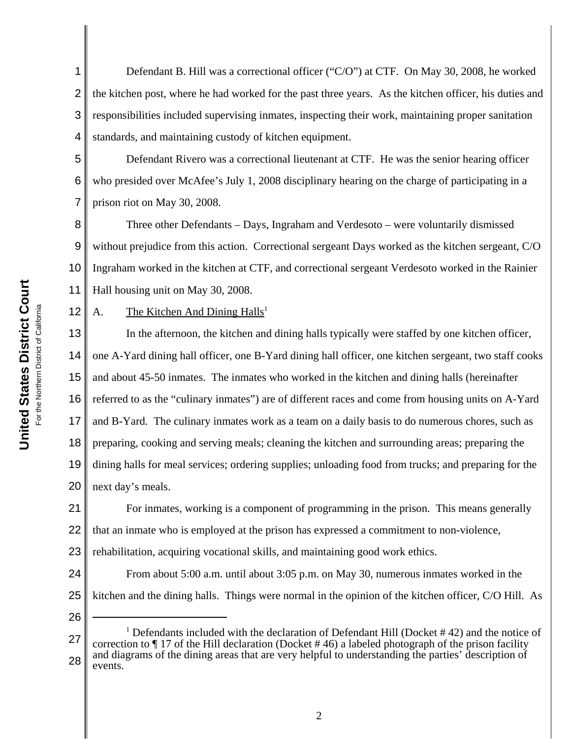1 2 3 4 Defendant B. Hill was a correctional officer ("C/O") at CTF. On May 30, 2008, he worked the kitchen post, where he had worked for the past three years. As the kitchen officer, his duties and responsibilities included supervising inmates, inspecting their work, maintaining proper sanitation standards, and maintaining custody of kitchen equipment.

5 6 7 Defendant Rivero was a correctional lieutenant at CTF. He was the senior hearing officer who presided over McAfee's July 1, 2008 disciplinary hearing on the charge of participating in a prison riot on May 30, 2008.

8 9 10 11 Three other Defendants – Days, Ingraham and Verdesoto – were voluntarily dismissed without prejudice from this action. Correctional sergeant Days worked as the kitchen sergeant, C/O Ingraham worked in the kitchen at CTF, and correctional sergeant Verdesoto worked in the Rainier Hall housing unit on May 30, 2008.

12

A. The Kitchen And Dining  $Halls<sup>1</sup>$ 

13 14 15 16 17 18 19 20 In the afternoon, the kitchen and dining halls typically were staffed by one kitchen officer, one A-Yard dining hall officer, one B-Yard dining hall officer, one kitchen sergeant, two staff cooks and about 45-50 inmates. The inmates who worked in the kitchen and dining halls (hereinafter referred to as the "culinary inmates") are of different races and come from housing units on A-Yard and B-Yard. The culinary inmates work as a team on a daily basis to do numerous chores, such as preparing, cooking and serving meals; cleaning the kitchen and surrounding areas; preparing the dining halls for meal services; ordering supplies; unloading food from trucks; and preparing for the next day's meals.

21 22 For inmates, working is a component of programming in the prison. This means generally that an inmate who is employed at the prison has expressed a commitment to non-violence,

23 rehabilitation, acquiring vocational skills, and maintaining good work ethics.

24 25 From about 5:00 a.m. until about 3:05 p.m. on May 30, numerous inmates worked in the kitchen and the dining halls. Things were normal in the opinion of the kitchen officer, C/O Hill. As

<sup>27</sup> 28 <sup>1</sup> Defendants included with the declaration of Defendant Hill (Docket  $#42$ ) and the notice of correction to  $\P$  17 of the Hill declaration (Docket #46) a labeled photograph of the prison facility and diagrams of the dining areas that are very helpful to understanding the parties' description of events.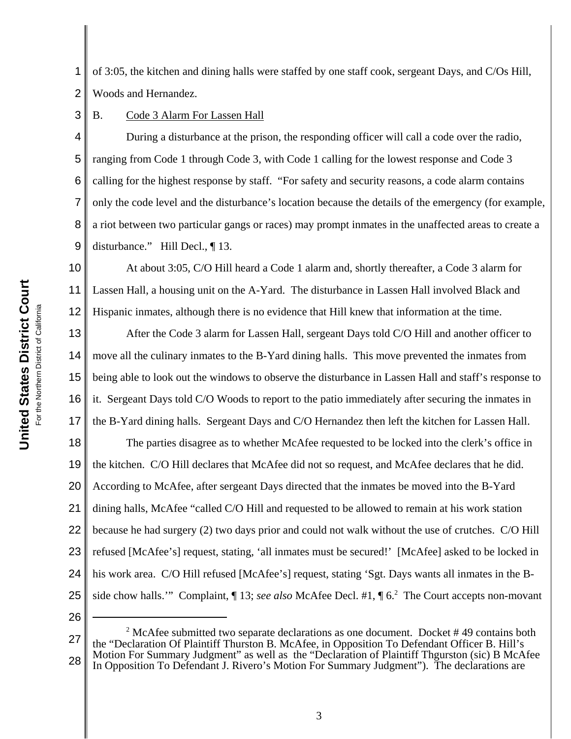1 2 of 3:05, the kitchen and dining halls were staffed by one staff cook, sergeant Days, and C/Os Hill, Woods and Hernandez.

3 B. Code 3 Alarm For Lassen Hall

4 5 6 7 8 9 During a disturbance at the prison, the responding officer will call a code over the radio, ranging from Code 1 through Code 3, with Code 1 calling for the lowest response and Code 3 calling for the highest response by staff. "For safety and security reasons, a code alarm contains only the code level and the disturbance's location because the details of the emergency (for example, a riot between two particular gangs or races) may prompt inmates in the unaffected areas to create a disturbance." Hill Decl., ¶ 13.

10 11 12 At about 3:05, C/O Hill heard a Code 1 alarm and, shortly thereafter, a Code 3 alarm for Lassen Hall, a housing unit on the A-Yard. The disturbance in Lassen Hall involved Black and Hispanic inmates, although there is no evidence that Hill knew that information at the time.

13 14 15 16 17 After the Code 3 alarm for Lassen Hall, sergeant Days told C/O Hill and another officer to move all the culinary inmates to the B-Yard dining halls. This move prevented the inmates from being able to look out the windows to observe the disturbance in Lassen Hall and staff's response to it. Sergeant Days told C/O Woods to report to the patio immediately after securing the inmates in the B-Yard dining halls. Sergeant Days and C/O Hernandez then left the kitchen for Lassen Hall.

18 19 20 21 22 23 24 25 The parties disagree as to whether McAfee requested to be locked into the clerk's office in the kitchen. C/O Hill declares that McAfee did not so request, and McAfee declares that he did. According to McAfee, after sergeant Days directed that the inmates be moved into the B-Yard dining halls, McAfee "called C/O Hill and requested to be allowed to remain at his work station because he had surgery (2) two days prior and could not walk without the use of crutches. C/O Hill refused [McAfee's] request, stating, 'all inmates must be secured!' [McAfee] asked to be locked in his work area. C/O Hill refused [McAfee's] request, stating 'Sgt. Days wants all inmates in the Bside chow halls." Complaint, 13; see also McAfee Decl. #1, 1 6.<sup>2</sup> The Court accepts non-movant

<sup>27</sup> 28 <sup>2</sup> McAfee submitted two separate declarations as one document. Docket  $#49$  contains both the "Declaration Of Plaintiff Thurston B. McAfee, in Opposition To Defendant Officer B. Hill's Motion For Summary Judgment" as well as the "Declaration of Plaintiff Thgurston (sic) B McAfee In Opposition To Defendant J. Rivero's Motion For Summary Judgment"). The declarations are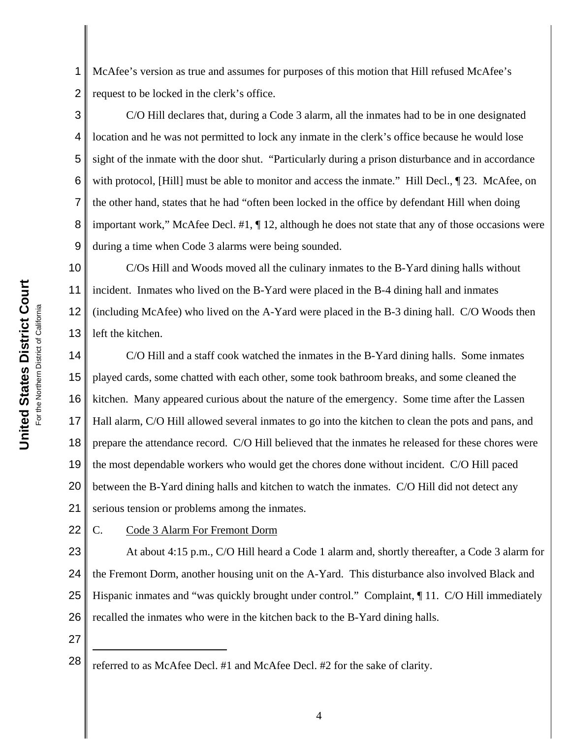1 2 McAfee's version as true and assumes for purposes of this motion that Hill refused McAfee's request to be locked in the clerk's office.

3 4 5 6 7 8 9 C/O Hill declares that, during a Code 3 alarm, all the inmates had to be in one designated location and he was not permitted to lock any inmate in the clerk's office because he would lose sight of the inmate with the door shut. "Particularly during a prison disturbance and in accordance with protocol, [Hill] must be able to monitor and access the inmate." Hill Decl.,  $\P$  23. McAfee, on the other hand, states that he had "often been locked in the office by defendant Hill when doing important work," McAfee Decl. #1, ¶ 12, although he does not state that any of those occasions were during a time when Code 3 alarms were being sounded.

10 11 12 13 C/Os Hill and Woods moved all the culinary inmates to the B-Yard dining halls without incident. Inmates who lived on the B-Yard were placed in the B-4 dining hall and inmates (including McAfee) who lived on the A-Yard were placed in the B-3 dining hall. C/O Woods then left the kitchen.

14 15 16 17 18 19 20 21 C/O Hill and a staff cook watched the inmates in the B-Yard dining halls. Some inmates played cards, some chatted with each other, some took bathroom breaks, and some cleaned the kitchen. Many appeared curious about the nature of the emergency. Some time after the Lassen Hall alarm, C/O Hill allowed several inmates to go into the kitchen to clean the pots and pans, and prepare the attendance record. C/O Hill believed that the inmates he released for these chores were the most dependable workers who would get the chores done without incident. C/O Hill paced between the B-Yard dining halls and kitchen to watch the inmates. C/O Hill did not detect any serious tension or problems among the inmates.

22

C. Code 3 Alarm For Fremont Dorm

23 24 25 26 At about 4:15 p.m., C/O Hill heard a Code 1 alarm and, shortly thereafter, a Code 3 alarm for the Fremont Dorm, another housing unit on the A-Yard. This disturbance also involved Black and Hispanic inmates and "was quickly brought under control." Complaint,  $\P$  11. C/O Hill immediately recalled the inmates who were in the kitchen back to the B-Yard dining halls.

<sup>28</sup> referred to as McAfee Decl. #1 and McAfee Decl. #2 for the sake of clarity.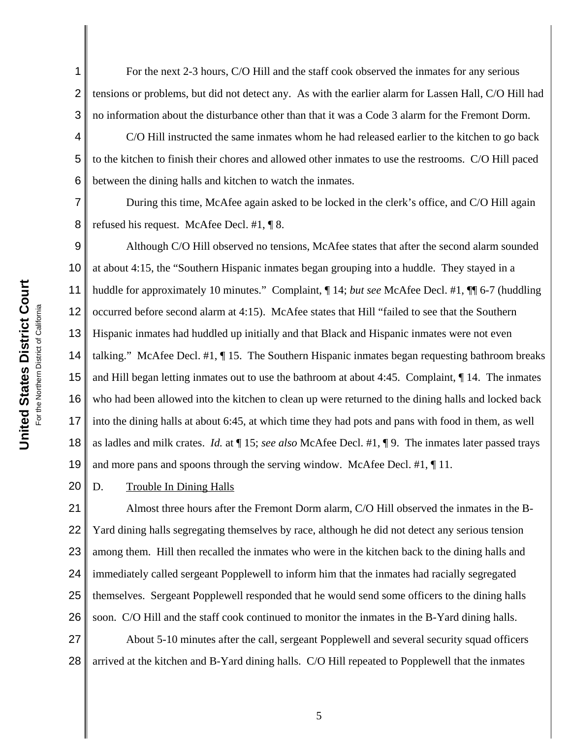2 3 For the next 2-3 hours, C/O Hill and the staff cook observed the inmates for any serious tensions or problems, but did not detect any. As with the earlier alarm for Lassen Hall, C/O Hill had no information about the disturbance other than that it was a Code 3 alarm for the Fremont Dorm.

C/O Hill instructed the same inmates whom he had released earlier to the kitchen to go back to the kitchen to finish their chores and allowed other inmates to use the restrooms. C/O Hill paced between the dining halls and kitchen to watch the inmates.

7 8 During this time, McAfee again asked to be locked in the clerk's office, and C/O Hill again refused his request. McAfee Decl. #1, ¶ 8.

9 10 11 12 13 14 15 16 17 18 19 Although C/O Hill observed no tensions, McAfee states that after the second alarm sounded at about 4:15, the "Southern Hispanic inmates began grouping into a huddle. They stayed in a huddle for approximately 10 minutes." Complaint, ¶ 14; *but see* McAfee Decl. #1, ¶¶ 6-7 (huddling occurred before second alarm at 4:15). McAfee states that Hill "failed to see that the Southern Hispanic inmates had huddled up initially and that Black and Hispanic inmates were not even talking." McAfee Decl. #1, ¶ 15. The Southern Hispanic inmates began requesting bathroom breaks and Hill began letting inmates out to use the bathroom at about 4:45. Complaint, ¶ 14. The inmates who had been allowed into the kitchen to clean up were returned to the dining halls and locked back into the dining halls at about 6:45, at which time they had pots and pans with food in them, as well as ladles and milk crates. *Id.* at ¶ 15; *see also* McAfee Decl. #1, ¶ 9. The inmates later passed trays and more pans and spoons through the serving window. McAfee Decl. #1, ¶ 11.

20 D. Trouble In Dining Halls

21 22 23 24 25 26 Almost three hours after the Fremont Dorm alarm, C/O Hill observed the inmates in the B-Yard dining halls segregating themselves by race, although he did not detect any serious tension among them. Hill then recalled the inmates who were in the kitchen back to the dining halls and immediately called sergeant Popplewell to inform him that the inmates had racially segregated themselves. Sergeant Popplewell responded that he would send some officers to the dining halls soon. C/O Hill and the staff cook continued to monitor the inmates in the B-Yard dining halls.

27 28 About 5-10 minutes after the call, sergeant Popplewell and several security squad officers arrived at the kitchen and B-Yard dining halls. C/O Hill repeated to Popplewell that the inmates

1

4

5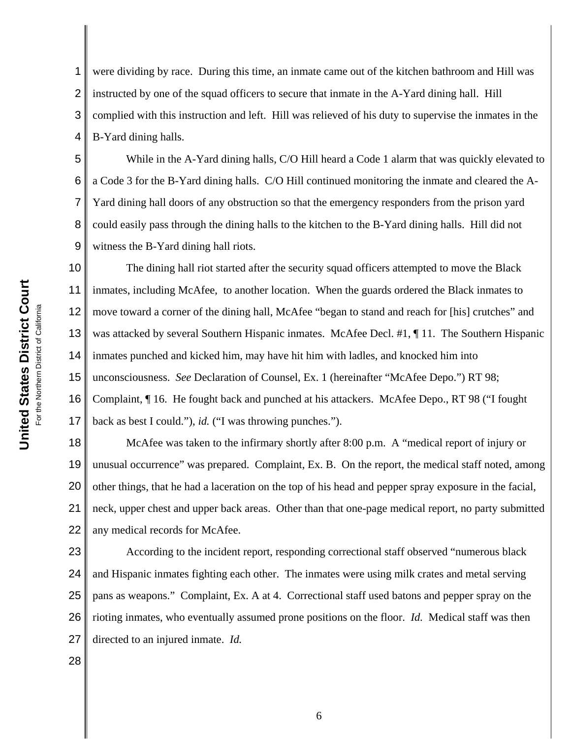2 3 4 5 instructed by one of the squad officers to secure that inmate in the A-Yard dining hall. Hill complied with this instruction and left. Hill was relieved of his duty to supervise the inmates in the B-Yard dining halls. While in the A-Yard dining halls, C/O Hill heard a Code 1 alarm that was quickly elevated to

6 7 8 9 a Code 3 for the B-Yard dining halls. C/O Hill continued monitoring the inmate and cleared the A-Yard dining hall doors of any obstruction so that the emergency responders from the prison yard could easily pass through the dining halls to the kitchen to the B-Yard dining halls. Hill did not witness the B-Yard dining hall riots.

were dividing by race. During this time, an inmate came out of the kitchen bathroom and Hill was

10 11 12 13 14 15 16 17 The dining hall riot started after the security squad officers attempted to move the Black inmates, including McAfee, to another location. When the guards ordered the Black inmates to move toward a corner of the dining hall, McAfee "began to stand and reach for [his] crutches" and was attacked by several Southern Hispanic inmates. McAfee Decl. #1, ¶ 11. The Southern Hispanic inmates punched and kicked him, may have hit him with ladles, and knocked him into unconsciousness. *See* Declaration of Counsel, Ex. 1 (hereinafter "McAfee Depo.") RT 98; Complaint, ¶ 16. He fought back and punched at his attackers. McAfee Depo., RT 98 ("I fought back as best I could."), *id.* ("I was throwing punches.").

18 19 20 21 22 McAfee was taken to the infirmary shortly after 8:00 p.m. A "medical report of injury or unusual occurrence" was prepared. Complaint, Ex. B. On the report, the medical staff noted, among other things, that he had a laceration on the top of his head and pepper spray exposure in the facial, neck, upper chest and upper back areas. Other than that one-page medical report, no party submitted any medical records for McAfee.

23 24 25 26 27 According to the incident report, responding correctional staff observed "numerous black and Hispanic inmates fighting each other. The inmates were using milk crates and metal serving pans as weapons." Complaint, Ex. A at 4. Correctional staff used batons and pepper spray on the rioting inmates, who eventually assumed prone positions on the floor. *Id.* Medical staff was then directed to an injured inmate. *Id.*

28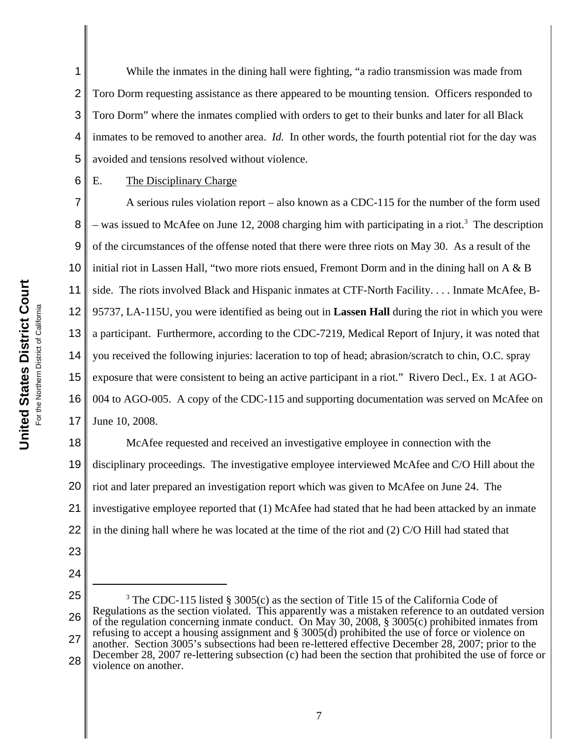2 3 4 5 While the inmates in the dining hall were fighting, "a radio transmission was made from Toro Dorm requesting assistance as there appeared to be mounting tension. Officers responded to Toro Dorm" where the inmates complied with orders to get to their bunks and later for all Black inmates to be removed to another area. *Id.* In other words, the fourth potential riot for the day was avoided and tensions resolved without violence.

6

1

# E. The Disciplinary Charge

7 8 9 10 11 12 13 14 15 16 17 A serious rules violation report – also known as a CDC-115 for the number of the form used  $-$  was issued to McAfee on June 12, 2008 charging him with participating in a riot.<sup>3</sup> The description of the circumstances of the offense noted that there were three riots on May 30. As a result of the initial riot in Lassen Hall, "two more riots ensued, Fremont Dorm and in the dining hall on A & B side. The riots involved Black and Hispanic inmates at CTF-North Facility. . . . Inmate McAfee, B-95737, LA-115U, you were identified as being out in **Lassen Hall** during the riot in which you were a participant. Furthermore, according to the CDC-7219, Medical Report of Injury, it was noted that you received the following injuries: laceration to top of head; abrasion/scratch to chin, O.C. spray exposure that were consistent to being an active participant in a riot." Rivero Decl., Ex. 1 at AGO-004 to AGO-005. A copy of the CDC-115 and supporting documentation was served on McAfee on June 10, 2008.

18 19 20 21 22 McAfee requested and received an investigative employee in connection with the disciplinary proceedings. The investigative employee interviewed McAfee and C/O Hill about the riot and later prepared an investigation report which was given to McAfee on June 24. The investigative employee reported that (1) McAfee had stated that he had been attacked by an inmate in the dining hall where he was located at the time of the riot and (2) C/O Hill had stated that

- 23
- 24
- 25

26 27 28 <sup>3</sup> The CDC-115 listed § 3005(c) as the section of Title 15 of the California Code of Regulations as the section violated. This apparently was a mistaken reference to an outdated version of the regulation concerning inmate conduct. On May 30, 2008, § 3005(c) prohibited inmates from refusing to accept a housing assignment and § 3005(d) prohibited the use of force or violence on another. Section 3005's subsections had been re-lettered effective December 28, 2007; prior to the December 28, 2007 re-lettering subsection (c) had been the section that prohibited the use of force or violence on another.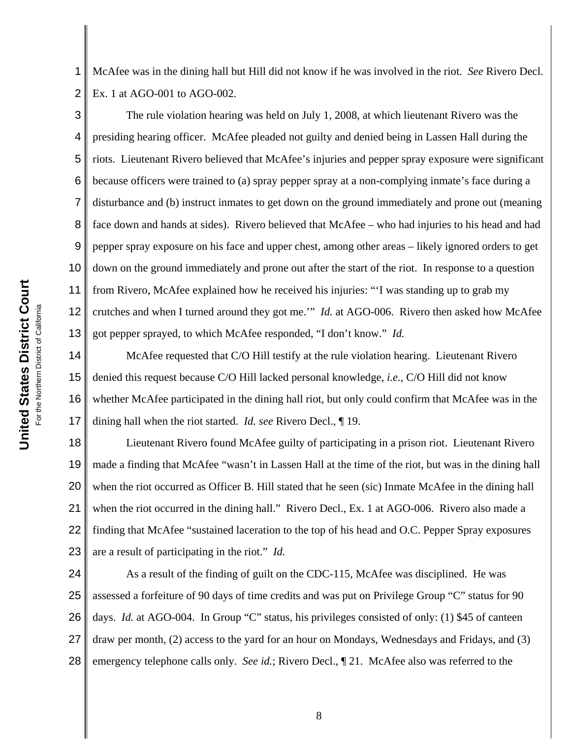United States District Court **United States District Court** For the Northern District of California For the Northern District of California

1 2 McAfee was in the dining hall but Hill did not know if he was involved in the riot. *See* Rivero Decl. Ex. 1 at AGO-001 to AGO-002.

3 4 5 6 7 8 9 10 11 12 13 The rule violation hearing was held on July 1, 2008, at which lieutenant Rivero was the presiding hearing officer. McAfee pleaded not guilty and denied being in Lassen Hall during the riots. Lieutenant Rivero believed that McAfee's injuries and pepper spray exposure were significant because officers were trained to (a) spray pepper spray at a non-complying inmate's face during a disturbance and (b) instruct inmates to get down on the ground immediately and prone out (meaning face down and hands at sides). Rivero believed that McAfee – who had injuries to his head and had pepper spray exposure on his face and upper chest, among other areas – likely ignored orders to get down on the ground immediately and prone out after the start of the riot. In response to a question from Rivero, McAfee explained how he received his injuries: "'I was standing up to grab my crutches and when I turned around they got me.'" *Id.* at AGO-006. Rivero then asked how McAfee got pepper sprayed, to which McAfee responded, "I don't know." *Id.*

14 15 16 17 McAfee requested that C/O Hill testify at the rule violation hearing. Lieutenant Rivero denied this request because C/O Hill lacked personal knowledge, *i.e.*, C/O Hill did not know whether McAfee participated in the dining hall riot, but only could confirm that McAfee was in the dining hall when the riot started. *Id. see* Rivero Decl., ¶ 19.

18 19 20 21 22 23 Lieutenant Rivero found McAfee guilty of participating in a prison riot. Lieutenant Rivero made a finding that McAfee "wasn't in Lassen Hall at the time of the riot, but was in the dining hall when the riot occurred as Officer B. Hill stated that he seen (sic) Inmate McAfee in the dining hall when the riot occurred in the dining hall." Rivero Decl., Ex. 1 at AGO-006. Rivero also made a finding that McAfee "sustained laceration to the top of his head and O.C. Pepper Spray exposures are a result of participating in the riot." *Id.*

24 25 26 27 28 As a result of the finding of guilt on the CDC-115, McAfee was disciplined. He was assessed a forfeiture of 90 days of time credits and was put on Privilege Group "C" status for 90 days. *Id.* at AGO-004. In Group "C" status, his privileges consisted of only: (1) \$45 of canteen draw per month, (2) access to the yard for an hour on Mondays, Wednesdays and Fridays, and (3) emergency telephone calls only. *See id.*; Rivero Decl., ¶ 21. McAfee also was referred to the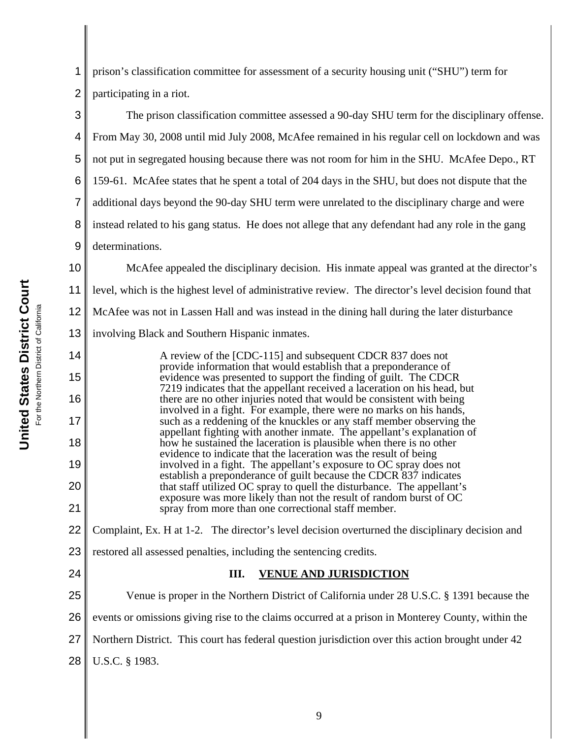1 2 prison's classification committee for assessment of a security housing unit ("SHU") term for participating in a riot.

3 4 5 6 7 8 9 The prison classification committee assessed a 90-day SHU term for the disciplinary offense. From May 30, 2008 until mid July 2008, McAfee remained in his regular cell on lockdown and was not put in segregated housing because there was not room for him in the SHU. McAfee Depo., RT 159-61. McAfee states that he spent a total of 204 days in the SHU, but does not dispute that the additional days beyond the 90-day SHU term were unrelated to the disciplinary charge and were instead related to his gang status. He does not allege that any defendant had any role in the gang determinations.

10 11 12 13 14 McAfee appealed the disciplinary decision. His inmate appeal was granted at the director's level, which is the highest level of administrative review. The director's level decision found that McAfee was not in Lassen Hall and was instead in the dining hall during the later disturbance involving Black and Southern Hispanic inmates.

A review of the [CDC-115] and subsequent CDCR 837 does not provide information that would establish that a preponderance of evidence was presented to support the finding of guilt. The CDCR 7219 indicates that the appellant received a laceration on his head, but there are no other injuries noted that would be consistent with being involved in a fight. For example, there were no marks on his hands, such as a reddening of the knuckles or any staff member observing the appellant fighting with another inmate. The appellant's explanation of how he sustained the laceration is plausible when there is no other evidence to indicate that the laceration was the result of being involved in a fight. The appellant's exposure to OC spray does not establish a preponderance of guilt because the CDCR 837 indicates that staff utilized OC spray to quell the disturbance. The appellant's exposure was more likely than not the result of random burst of OC spray from more than one correctional staff member.

22 Complaint, Ex. H at 1-2. The director's level decision overturned the disciplinary decision and

23 restored all assessed penalties, including the sentencing credits.

24

15

16

17

18

19

20

21

## **III. VENUE AND JURISDICTION**

25 26 27 28 Venue is proper in the Northern District of California under 28 U.S.C. § 1391 because the events or omissions giving rise to the claims occurred at a prison in Monterey County, within the Northern District. This court has federal question jurisdiction over this action brought under 42 U.S.C. § 1983.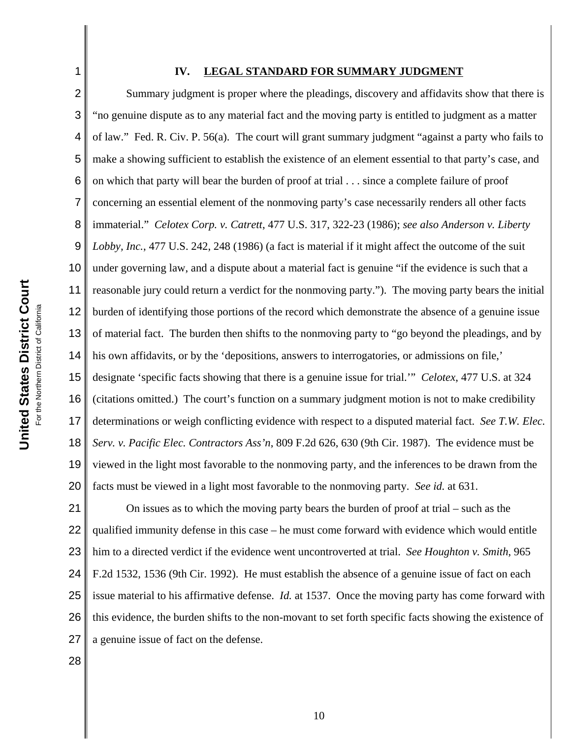1

### **IV. LEGAL STANDARD FOR SUMMARY JUDGMENT**

2 3 4 5 6 7 8 9 10 11 12 13 14 15 16 17 18 19 20 Summary judgment is proper where the pleadings, discovery and affidavits show that there is "no genuine dispute as to any material fact and the moving party is entitled to judgment as a matter of law." Fed. R. Civ. P. 56(a). The court will grant summary judgment "against a party who fails to make a showing sufficient to establish the existence of an element essential to that party's case, and on which that party will bear the burden of proof at trial . . . since a complete failure of proof concerning an essential element of the nonmoving party's case necessarily renders all other facts immaterial." *Celotex Corp. v. Catrett*, 477 U.S. 317, 322-23 (1986); *see also Anderson v. Liberty Lobby, Inc.*, 477 U.S. 242, 248 (1986) (a fact is material if it might affect the outcome of the suit under governing law, and a dispute about a material fact is genuine "if the evidence is such that a reasonable jury could return a verdict for the nonmoving party."). The moving party bears the initial burden of identifying those portions of the record which demonstrate the absence of a genuine issue of material fact. The burden then shifts to the nonmoving party to "go beyond the pleadings, and by his own affidavits, or by the 'depositions, answers to interrogatories, or admissions on file,' designate 'specific facts showing that there is a genuine issue for trial.'" *Celotex*, 477 U.S. at 324 (citations omitted.) The court's function on a summary judgment motion is not to make credibility determinations or weigh conflicting evidence with respect to a disputed material fact. *See T.W. Elec. Serv. v. Pacific Elec. Contractors Ass'n*, 809 F.2d 626, 630 (9th Cir. 1987). The evidence must be viewed in the light most favorable to the nonmoving party, and the inferences to be drawn from the facts must be viewed in a light most favorable to the nonmoving party. *See id.* at 631.

21 22 23 24 25 26 27 On issues as to which the moving party bears the burden of proof at trial – such as the qualified immunity defense in this case – he must come forward with evidence which would entitle him to a directed verdict if the evidence went uncontroverted at trial. *See Houghton v. Smith*, 965 F.2d 1532, 1536 (9th Cir. 1992). He must establish the absence of a genuine issue of fact on each issue material to his affirmative defense. *Id.* at 1537. Once the moving party has come forward with this evidence, the burden shifts to the non-movant to set forth specific facts showing the existence of a genuine issue of fact on the defense.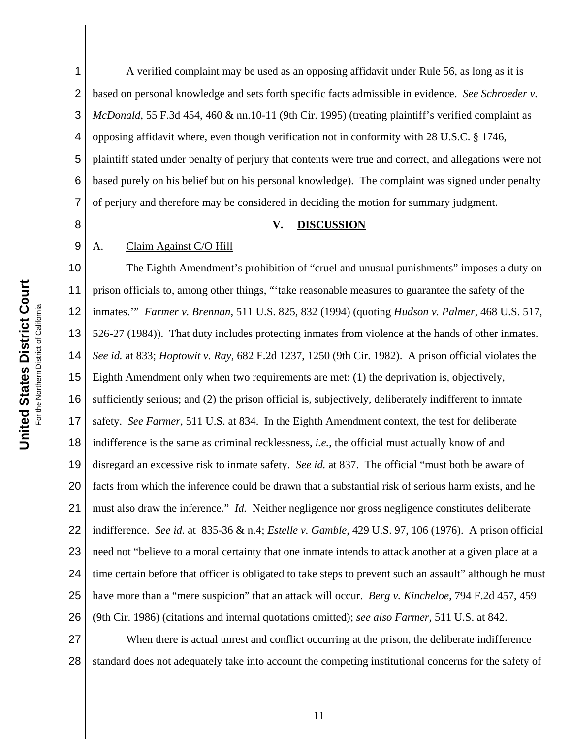1 2 3 4 5 6 7 A verified complaint may be used as an opposing affidavit under Rule 56, as long as it is based on personal knowledge and sets forth specific facts admissible in evidence. *See Schroeder v. McDonald*, 55 F.3d 454, 460 & nn.10-11 (9th Cir. 1995) (treating plaintiff's verified complaint as opposing affidavit where, even though verification not in conformity with 28 U.S.C. § 1746, plaintiff stated under penalty of perjury that contents were true and correct, and allegations were not based purely on his belief but on his personal knowledge). The complaint was signed under penalty of perjury and therefore may be considered in deciding the motion for summary judgment.

8

9

#### **V. DISCUSSION**

## A. Claim Against C/O Hill

10 11 12 13 14 15 16 17 18 19 20 21 22 23 24 25 26 The Eighth Amendment's prohibition of "cruel and unusual punishments" imposes a duty on prison officials to, among other things, "'take reasonable measures to guarantee the safety of the inmates.'" *Farmer v. Brennan*, 511 U.S. 825, 832 (1994) (quoting *Hudson v. Palmer*, 468 U.S. 517, 526-27 (1984)). That duty includes protecting inmates from violence at the hands of other inmates. *See id.* at 833; *Hoptowit v. Ray*, 682 F.2d 1237, 1250 (9th Cir. 1982). A prison official violates the Eighth Amendment only when two requirements are met: (1) the deprivation is, objectively, sufficiently serious; and (2) the prison official is, subjectively, deliberately indifferent to inmate safety. *See Farmer*, 511 U.S. at 834. In the Eighth Amendment context, the test for deliberate indifference is the same as criminal recklessness, *i.e.*, the official must actually know of and disregard an excessive risk to inmate safety. *See id.* at 837. The official "must both be aware of facts from which the inference could be drawn that a substantial risk of serious harm exists, and he must also draw the inference." *Id.* Neither negligence nor gross negligence constitutes deliberate indifference. *See id.* at 835-36 & n.4; *Estelle v. Gamble*, 429 U.S. 97, 106 (1976). A prison official need not "believe to a moral certainty that one inmate intends to attack another at a given place at a time certain before that officer is obligated to take steps to prevent such an assault" although he must have more than a "mere suspicion" that an attack will occur. *Berg v. Kincheloe*, 794 F.2d 457, 459 (9th Cir. 1986) (citations and internal quotations omitted); *see also Farmer*, 511 U.S. at 842.

27 28 When there is actual unrest and conflict occurring at the prison, the deliberate indifference standard does not adequately take into account the competing institutional concerns for the safety of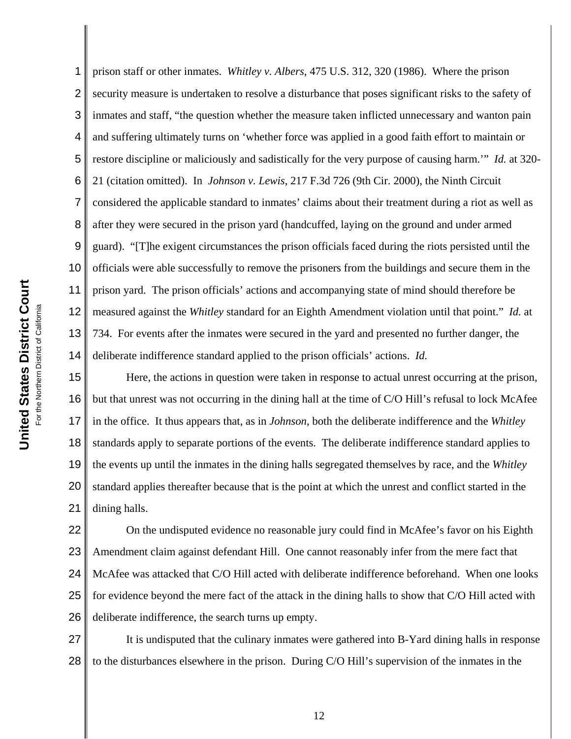1 2 3 4 5 6 7 8 9 10 11 12 13 14 prison staff or other inmates. *Whitley v. Albers*, 475 U.S. 312, 320 (1986). Where the prison security measure is undertaken to resolve a disturbance that poses significant risks to the safety of inmates and staff, "the question whether the measure taken inflicted unnecessary and wanton pain and suffering ultimately turns on 'whether force was applied in a good faith effort to maintain or restore discipline or maliciously and sadistically for the very purpose of causing harm.'" *Id.* at 320- 21 (citation omitted). In *Johnson v. Lewis*, 217 F.3d 726 (9th Cir. 2000), the Ninth Circuit considered the applicable standard to inmates' claims about their treatment during a riot as well as after they were secured in the prison yard (handcuffed, laying on the ground and under armed guard). "[T]he exigent circumstances the prison officials faced during the riots persisted until the officials were able successfully to remove the prisoners from the buildings and secure them in the prison yard. The prison officials' actions and accompanying state of mind should therefore be measured against the *Whitley* standard for an Eighth Amendment violation until that point." *Id.* at 734. For events after the inmates were secured in the yard and presented no further danger, the deliberate indifference standard applied to the prison officials' actions. *Id.*

15 16 17 18 19 20 21 Here, the actions in question were taken in response to actual unrest occurring at the prison, but that unrest was not occurring in the dining hall at the time of C/O Hill's refusal to lock McAfee in the office. It thus appears that, as in *Johnson*, both the deliberate indifference and the *Whitley* standards apply to separate portions of the events. The deliberate indifference standard applies to the events up until the inmates in the dining halls segregated themselves by race, and the *Whitley* standard applies thereafter because that is the point at which the unrest and conflict started in the dining halls.

22 23 24 25 26 On the undisputed evidence no reasonable jury could find in McAfee's favor on his Eighth Amendment claim against defendant Hill. One cannot reasonably infer from the mere fact that McAfee was attacked that C/O Hill acted with deliberate indifference beforehand. When one looks for evidence beyond the mere fact of the attack in the dining halls to show that C/O Hill acted with deliberate indifference, the search turns up empty.

27 28 It is undisputed that the culinary inmates were gathered into B-Yard dining halls in response to the disturbances elsewhere in the prison. During C/O Hill's supervision of the inmates in the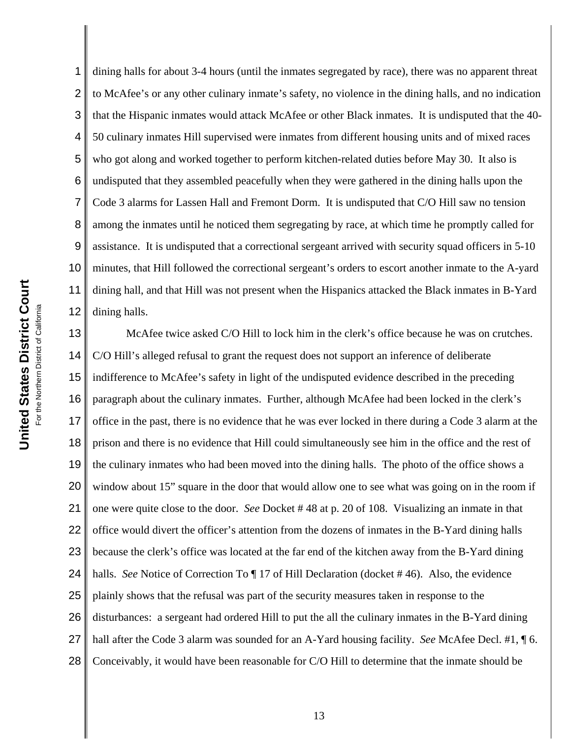1 2 3 4 dining halls for about 3-4 hours (until the inmates segregated by race), there was no apparent threat to McAfee's or any other culinary inmate's safety, no violence in the dining halls, and no indication that the Hispanic inmates would attack McAfee or other Black inmates. It is undisputed that the 40- 50 culinary inmates Hill supervised were inmates from different housing units and of mixed races who got along and worked together to perform kitchen-related duties before May 30. It also is undisputed that they assembled peacefully when they were gathered in the dining halls upon the Code 3 alarms for Lassen Hall and Fremont Dorm. It is undisputed that C/O Hill saw no tension among the inmates until he noticed them segregating by race, at which time he promptly called for assistance. It is undisputed that a correctional sergeant arrived with security squad officers in 5-10 minutes, that Hill followed the correctional sergeant's orders to escort another inmate to the A-yard dining hall, and that Hill was not present when the Hispanics attacked the Black inmates in B-Yard dining halls.

17 18 19 20 21 22 23 24 25 26 27 28 McAfee twice asked C/O Hill to lock him in the clerk's office because he was on crutches. C/O Hill's alleged refusal to grant the request does not support an inference of deliberate indifference to McAfee's safety in light of the undisputed evidence described in the preceding paragraph about the culinary inmates. Further, although McAfee had been locked in the clerk's office in the past, there is no evidence that he was ever locked in there during a Code 3 alarm at the prison and there is no evidence that Hill could simultaneously see him in the office and the rest of the culinary inmates who had been moved into the dining halls. The photo of the office shows a window about 15" square in the door that would allow one to see what was going on in the room if one were quite close to the door. *See* Docket # 48 at p. 20 of 108. Visualizing an inmate in that office would divert the officer's attention from the dozens of inmates in the B-Yard dining halls because the clerk's office was located at the far end of the kitchen away from the B-Yard dining halls. *See* Notice of Correction To  $\P$  17 of Hill Declaration (docket #46). Also, the evidence plainly shows that the refusal was part of the security measures taken in response to the disturbances: a sergeant had ordered Hill to put the all the culinary inmates in the B-Yard dining hall after the Code 3 alarm was sounded for an A-Yard housing facility. *See* McAfee Decl. #1, ¶ 6. Conceivably, it would have been reasonable for C/O Hill to determine that the inmate should be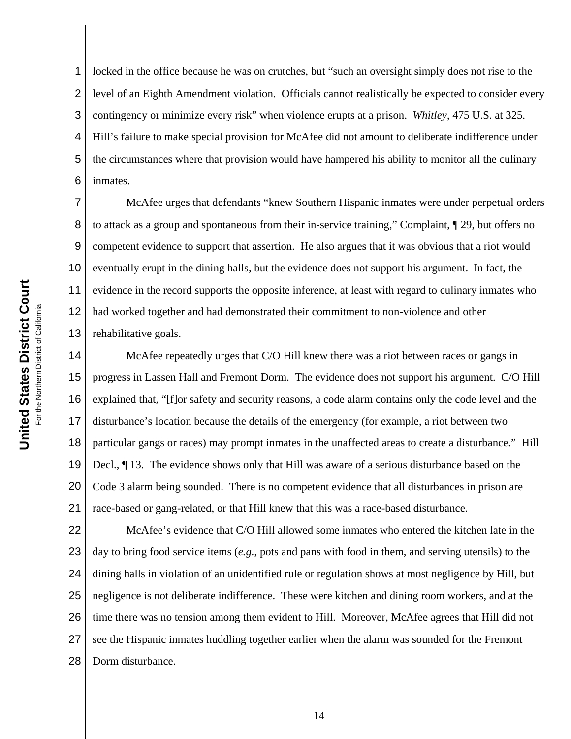1 2 3 4 5 6 locked in the office because he was on crutches, but "such an oversight simply does not rise to the level of an Eighth Amendment violation. Officials cannot realistically be expected to consider every contingency or minimize every risk" when violence erupts at a prison. *Whitley*, 475 U.S. at 325. Hill's failure to make special provision for McAfee did not amount to deliberate indifference under the circumstances where that provision would have hampered his ability to monitor all the culinary inmates.

7 8 9 10 11 12 13 McAfee urges that defendants "knew Southern Hispanic inmates were under perpetual orders to attack as a group and spontaneous from their in-service training," Complaint, ¶ 29, but offers no competent evidence to support that assertion. He also argues that it was obvious that a riot would eventually erupt in the dining halls, but the evidence does not support his argument. In fact, the evidence in the record supports the opposite inference, at least with regard to culinary inmates who had worked together and had demonstrated their commitment to non-violence and other rehabilitative goals.

14 15 16 17 18 19 20 21 McAfee repeatedly urges that C/O Hill knew there was a riot between races or gangs in progress in Lassen Hall and Fremont Dorm. The evidence does not support his argument. C/O Hill explained that, "[f]or safety and security reasons, a code alarm contains only the code level and the disturbance's location because the details of the emergency (for example, a riot between two particular gangs or races) may prompt inmates in the unaffected areas to create a disturbance." Hill Decl., ¶ 13. The evidence shows only that Hill was aware of a serious disturbance based on the Code 3 alarm being sounded. There is no competent evidence that all disturbances in prison are race-based or gang-related, or that Hill knew that this was a race-based disturbance.

22 23 24 25 26 27 28 McAfee's evidence that C/O Hill allowed some inmates who entered the kitchen late in the day to bring food service items (*e.g.*, pots and pans with food in them, and serving utensils) to the dining halls in violation of an unidentified rule or regulation shows at most negligence by Hill, but negligence is not deliberate indifference. These were kitchen and dining room workers, and at the time there was no tension among them evident to Hill. Moreover, McAfee agrees that Hill did not see the Hispanic inmates huddling together earlier when the alarm was sounded for the Fremont Dorm disturbance.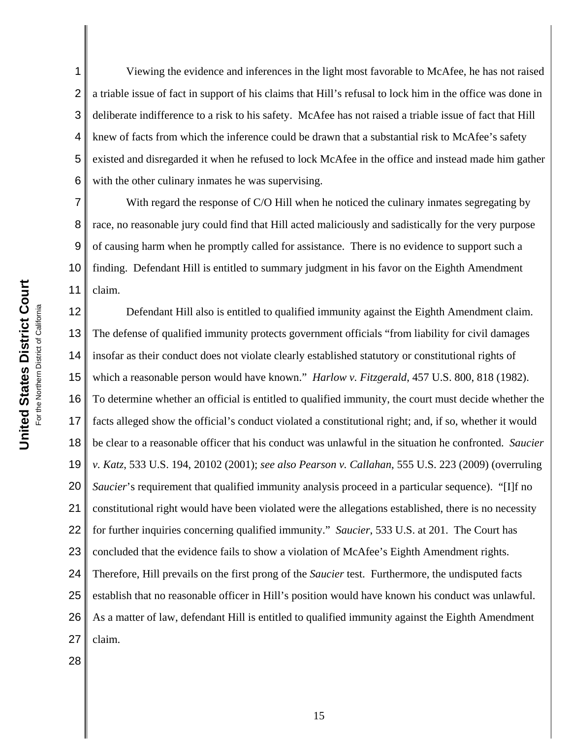2 3 4 5 6 Viewing the evidence and inferences in the light most favorable to McAfee, he has not raised a triable issue of fact in support of his claims that Hill's refusal to lock him in the office was done in deliberate indifference to a risk to his safety. McAfee has not raised a triable issue of fact that Hill knew of facts from which the inference could be drawn that a substantial risk to McAfee's safety existed and disregarded it when he refused to lock McAfee in the office and instead made him gather with the other culinary inmates he was supervising.

7 8 9 10 11 With regard the response of C/O Hill when he noticed the culinary inmates segregating by race, no reasonable jury could find that Hill acted maliciously and sadistically for the very purpose of causing harm when he promptly called for assistance. There is no evidence to support such a finding. Defendant Hill is entitled to summary judgment in his favor on the Eighth Amendment claim.

12 13 14 15 16 17 18 19 20 21 22 23 24 25 26 27 Defendant Hill also is entitled to qualified immunity against the Eighth Amendment claim. The defense of qualified immunity protects government officials "from liability for civil damages insofar as their conduct does not violate clearly established statutory or constitutional rights of which a reasonable person would have known." *Harlow v. Fitzgerald*, 457 U.S. 800, 818 (1982). To determine whether an official is entitled to qualified immunity, the court must decide whether the facts alleged show the official's conduct violated a constitutional right; and, if so, whether it would be clear to a reasonable officer that his conduct was unlawful in the situation he confronted. *Saucier v. Katz*, 533 U.S. 194, 20102 (2001); *see also Pearson v. Callahan*, 555 U.S. 223 (2009) (overruling *Saucier*'s requirement that qualified immunity analysis proceed in a particular sequence). "[I]f no constitutional right would have been violated were the allegations established, there is no necessity for further inquiries concerning qualified immunity." *Saucier*, 533 U.S. at 201. The Court has concluded that the evidence fails to show a violation of McAfee's Eighth Amendment rights. Therefore, Hill prevails on the first prong of the *Saucier* test. Furthermore, the undisputed facts establish that no reasonable officer in Hill's position would have known his conduct was unlawful. As a matter of law, defendant Hill is entitled to qualified immunity against the Eighth Amendment claim.

28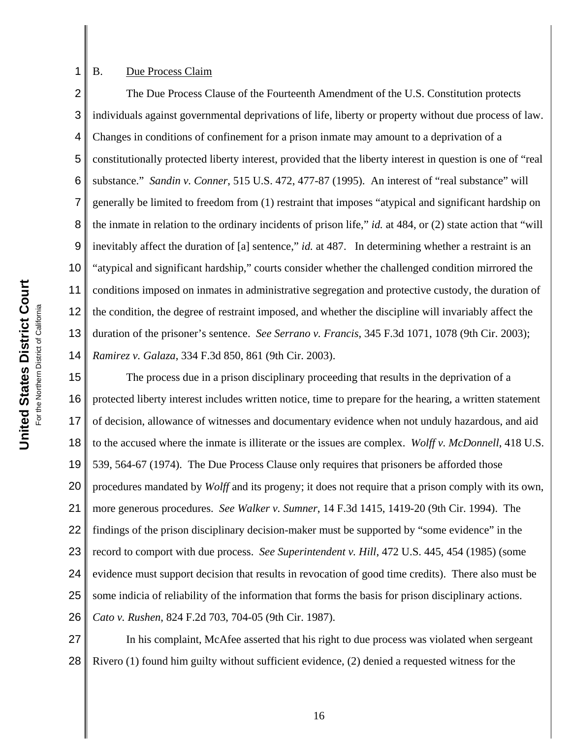## B. Due Process Claim

1

2 3 4 5 6 7 8 9 10 11 12 13 14 The Due Process Clause of the Fourteenth Amendment of the U.S. Constitution protects individuals against governmental deprivations of life, liberty or property without due process of law. Changes in conditions of confinement for a prison inmate may amount to a deprivation of a constitutionally protected liberty interest, provided that the liberty interest in question is one of "real substance." *Sandin v. Conner*, 515 U.S. 472, 477-87 (1995). An interest of "real substance" will generally be limited to freedom from (1) restraint that imposes "atypical and significant hardship on the inmate in relation to the ordinary incidents of prison life," *id.* at 484, or (2) state action that "will inevitably affect the duration of [a] sentence," *id.* at 487. In determining whether a restraint is an "atypical and significant hardship," courts consider whether the challenged condition mirrored the conditions imposed on inmates in administrative segregation and protective custody, the duration of the condition, the degree of restraint imposed, and whether the discipline will invariably affect the duration of the prisoner's sentence. *See Serrano v. Francis*, 345 F.3d 1071, 1078 (9th Cir. 2003); *Ramirez v. Galaza*, 334 F.3d 850, 861 (9th Cir. 2003).

15 16 17 18 19 20 21 22 23 24 25 26 The process due in a prison disciplinary proceeding that results in the deprivation of a protected liberty interest includes written notice, time to prepare for the hearing, a written statement of decision, allowance of witnesses and documentary evidence when not unduly hazardous, and aid to the accused where the inmate is illiterate or the issues are complex. *Wolff v. McDonnell*, 418 U.S. 539, 564-67 (1974). The Due Process Clause only requires that prisoners be afforded those procedures mandated by *Wolff* and its progeny; it does not require that a prison comply with its own, more generous procedures. *See Walker v. Sumner*, 14 F.3d 1415, 1419-20 (9th Cir. 1994). The findings of the prison disciplinary decision-maker must be supported by "some evidence" in the record to comport with due process. *See Superintendent v. Hill*, 472 U.S. 445, 454 (1985) (some evidence must support decision that results in revocation of good time credits). There also must be some indicia of reliability of the information that forms the basis for prison disciplinary actions. *Cato v. Rushen*, 824 F.2d 703, 704-05 (9th Cir. 1987).

27 28 In his complaint, McAfee asserted that his right to due process was violated when sergeant Rivero (1) found him guilty without sufficient evidence, (2) denied a requested witness for the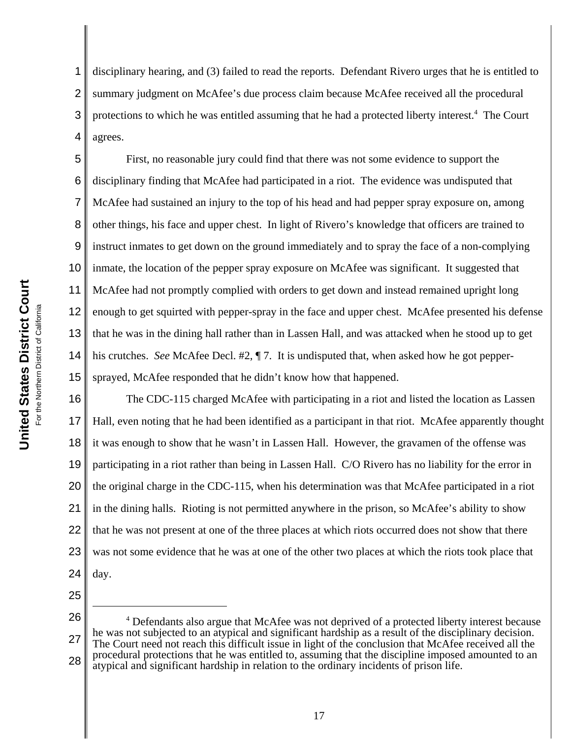1 2 3 4 disciplinary hearing, and (3) failed to read the reports. Defendant Rivero urges that he is entitled to summary judgment on McAfee's due process claim because McAfee received all the procedural protections to which he was entitled assuming that he had a protected liberty interest.<sup>4</sup> The Court agrees.

5 6 7 8 9 10 11 12 13 14 15 First, no reasonable jury could find that there was not some evidence to support the disciplinary finding that McAfee had participated in a riot. The evidence was undisputed that McAfee had sustained an injury to the top of his head and had pepper spray exposure on, among other things, his face and upper chest. In light of Rivero's knowledge that officers are trained to instruct inmates to get down on the ground immediately and to spray the face of a non-complying inmate, the location of the pepper spray exposure on McAfee was significant. It suggested that McAfee had not promptly complied with orders to get down and instead remained upright long enough to get squirted with pepper-spray in the face and upper chest. McAfee presented his defense that he was in the dining hall rather than in Lassen Hall, and was attacked when he stood up to get his crutches. *See* McAfee Decl. #2, ¶ 7. It is undisputed that, when asked how he got peppersprayed, McAfee responded that he didn't know how that happened.

16 17 18 19 20 21 22 23 24 The CDC-115 charged McAfee with participating in a riot and listed the location as Lassen Hall, even noting that he had been identified as a participant in that riot. McAfee apparently thought it was enough to show that he wasn't in Lassen Hall. However, the gravamen of the offense was participating in a riot rather than being in Lassen Hall. C/O Rivero has no liability for the error in the original charge in the CDC-115, when his determination was that McAfee participated in a riot in the dining halls. Rioting is not permitted anywhere in the prison, so McAfee's ability to show that he was not present at one of the three places at which riots occurred does not show that there was not some evidence that he was at one of the other two places at which the riots took place that day.

25

26 27 28 <sup>4</sup> Defendants also argue that McAfee was not deprived of a protected liberty interest because he was not subjected to an atypical and significant hardship as a result of the disciplinary decision. The Court need not reach this difficult issue in light of the conclusion that McAfee received all the procedural protections that he was entitled to, assuming that the discipline imposed amounted to an atypical and significant hardship in relation to the ordinary incidents of prison life.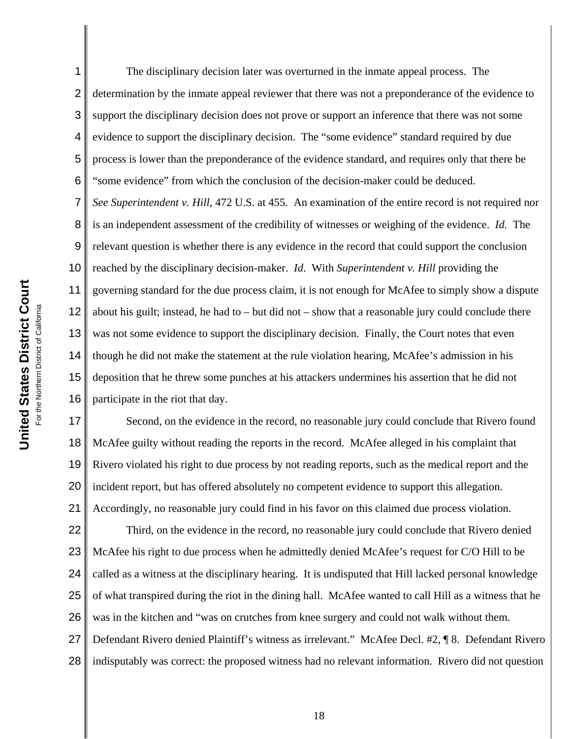1 2 3 4 5 The disciplinary decision later was overturned in the inmate appeal process. The determination by the inmate appeal reviewer that there was not a preponderance of the evidence to support the disciplinary decision does not prove or support an inference that there was not some evidence to support the disciplinary decision. The "some evidence" standard required by due process is lower than the preponderance of the evidence standard, and requires only that there be "some evidence" from which the conclusion of the decision-maker could be deduced. *See Superintendent v. Hill*, 472 U.S. at 455. An examination of the entire record is not required nor is an independent assessment of the credibility of witnesses or weighing of the evidence. *Id.* The relevant question is whether there is any evidence in the record that could support the conclusion

governing standard for the due process claim, it is not enough for McAfee to simply show a dispute about his guilt; instead, he had to – but did not – show that a reasonable jury could conclude there was not some evidence to support the disciplinary decision. Finally, the Court notes that even though he did not make the statement at the rule violation hearing, McAfee's admission in his deposition that he threw some punches at his attackers undermines his assertion that he did not participate in the riot that day.

reached by the disciplinary decision-maker. *Id*. With *Superintendent v. Hill* providing the

18 19 20 21 Second, on the evidence in the record, no reasonable jury could conclude that Rivero found McAfee guilty without reading the reports in the record. McAfee alleged in his complaint that Rivero violated his right to due process by not reading reports, such as the medical report and the incident report, but has offered absolutely no competent evidence to support this allegation. Accordingly, no reasonable jury could find in his favor on this claimed due process violation.

22 23 24 25 26 27 28 Third, on the evidence in the record, no reasonable jury could conclude that Rivero denied McAfee his right to due process when he admittedly denied McAfee's request for C/O Hill to be called as a witness at the disciplinary hearing. It is undisputed that Hill lacked personal knowledge of what transpired during the riot in the dining hall. McAfee wanted to call Hill as a witness that he was in the kitchen and "was on crutches from knee surgery and could not walk without them. Defendant Rivero denied Plaintiff's witness as irrelevant." McAfee Decl. #2, ¶ 8. Defendant Rivero indisputably was correct: the proposed witness had no relevant information. Rivero did not question